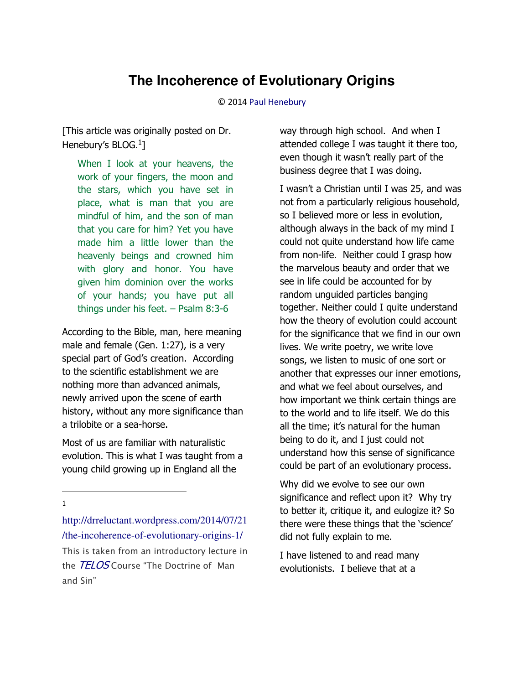# **The Incoherence of Evolutionary Origins**

© 201[4 Paul Henebury](http://www.spiritandtruth.org/id/ph.htm) 

[This article was originally posted on Dr. Henebury's BLOG.<sup>1</sup>]

When I look at your heavens, the work of your fingers, the moon and the stars, which you have set in place, what is man that you are mindful of him, and the son of man that you care for him? Yet you have made him a little lower than the heavenly beings and crowned him with glory and honor. You have given him dominion over the works of your hands; you have put all things under his feet. – Psalm 8:3-6

According to the Bible, man, here meaning male and female (Gen. 1:27), is a very special part of God's creation. According to the scientific establishment we are nothing more than advanced animals, newly arrived upon the scene of earth history, without any more significance than a trilobite or a sea-horse.

Most of us are familiar with naturalistic evolution. This is what I was taught from a young child growing up in England all the

l 1

[http://drreluctant.wordpress.com/2014/07/21](http://drreluctant.wordpress.com/2014/07/21/the-incoherence-of-evolutionary-origins-1/) [/the-incoherence-of-evolutionary-origins-1/](http://drreluctant.wordpress.com/2014/07/21/the-incoherence-of-evolutionary-origins-1/) *This is taken from an introductory lecture in the* [TELOS](http://www.telosonline.org/systematic-theology/) Course "The Doctrine of *Man*  and Sin"

way through high school. And when I attended college I was taught it there too, even though it wasn't really part of the business degree that I was doing.

I wasn't a Christian until I was 25, and was not from a particularly religious household, so I believed more or less in evolution, although always in the back of my mind I could not quite understand how life came from non-life. Neither could I grasp how the marvelous beauty and order that we see in life could be accounted for by random unguided particles banging together. Neither could I quite understand how the theory of evolution could account for the significance that we find in our own lives. We write poetry, we write love songs, we listen to music of one sort or another that expresses our inner emotions, and what we feel about ourselves, and how important we think certain things are to the world and to life itself. We do this all the time; it's natural for the human being to do it, and I just could not understand how this sense of significance could be part of an evolutionary process.

Why did we evolve to see our own significance and reflect upon it? Why try to better it, critique it, and eulogize it? So there were these things that the 'science' did not fully explain to me.

I have listened to and read many evolutionists. I believe that at a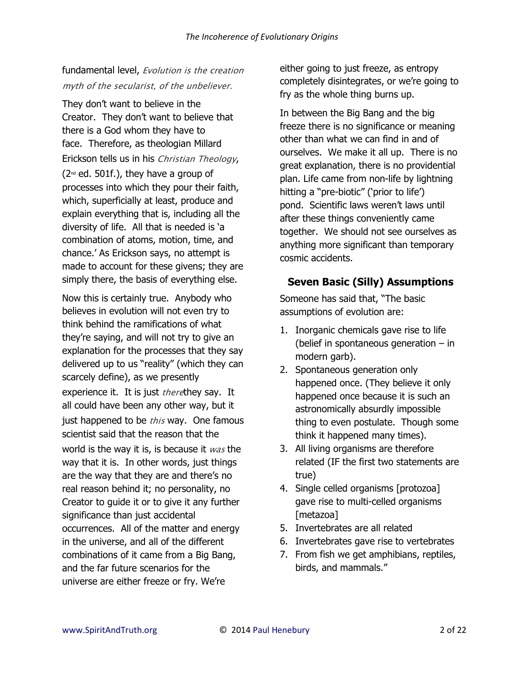# fundamental level, *Evolution is the creation myth of the secularist, of the unbeliever.*

They don't want to believe in the Creator. They don't want to believe that there is a God whom they have to face. Therefore, as theologian Millard Erickson tells us in his *Christian Theology*,  $(2<sub>nd</sub>$  ed. 501f.), they have a group of processes into which they pour their faith, which, superficially at least, produce and explain everything that is, including all the diversity of life. All that is needed is 'a combination of atoms, motion, time, and chance.' As Erickson says, no attempt is made to account for these givens; they are simply there, the basis of everything else.

Now this is certainly true. Anybody who believes in evolution will not even try to think behind the ramifications of what they're saying, and will not try to give an explanation for the processes that they say delivered up to us "reality" (which they can scarcely define), as we presently experience it. It is just *there*they say. It all could have been any other way, but it just happened to be *this* way. One famous scientist said that the reason that the world is the way it is, is because it *was* the way that it is. In other words, just things are the way that they are and there's no real reason behind it; no personality, no Creator to guide it or to give it any further significance than just accidental occurrences. All of the matter and energy in the universe, and all of the different combinations of it came from a Big Bang, and the far future scenarios for the universe are either freeze or fry. We're

either going to just freeze, as entropy completely disintegrates, or we're going to fry as the whole thing burns up.

In between the Big Bang and the big freeze there is no significance or meaning other than what we can find in and of ourselves. We make it all up. There is no great explanation, there is no providential plan. Life came from non-life by lightning hitting a "pre-biotic" ('prior to life') pond. Scientific laws weren't laws until after these things conveniently came together. We should not see ourselves as anything more significant than temporary cosmic accidents.

#### **Seven Basic (Silly) Assumptions**

Someone has said that, "The basic assumptions of evolution are:

- 1. Inorganic chemicals gave rise to life (belief in spontaneous generation – in modern garb).
- 2. Spontaneous generation only happened once. (They believe it only happened once because it is such an astronomically absurdly impossible thing to even postulate. Though some think it happened many times).
- 3. All living organisms are therefore related (IF the first two statements are true)
- 4. Single celled organisms [protozoa] gave rise to multi-celled organisms [metazoa]
- 5. Invertebrates are all related
- 6. Invertebrates gave rise to vertebrates
- 7. From fish we get amphibians, reptiles, birds, and mammals."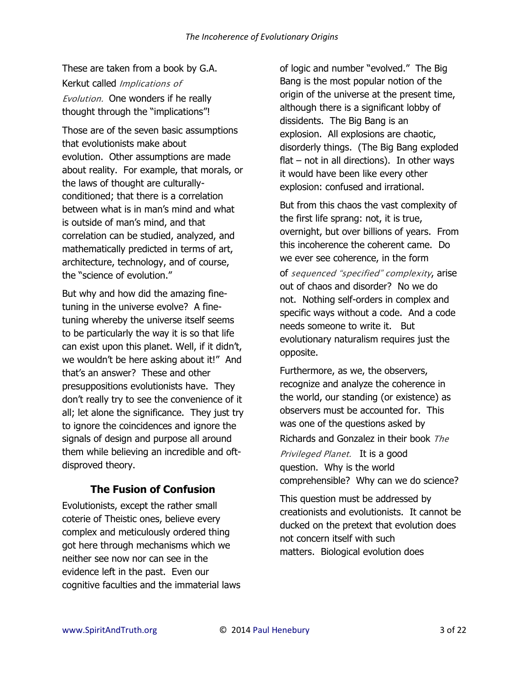These are taken from a book by G.A. Kerkut called *Implications of Evolution.* One wonders if he really thought through the "implications"!

Those are of the seven basic assumptions that evolutionists make about evolution. Other assumptions are made about reality. For example, that morals, or the laws of thought are culturallyconditioned; that there is a correlation between what is in man's mind and what is outside of man's mind, and that correlation can be studied, analyzed, and mathematically predicted in terms of art, architecture, technology, and of course, the "science of evolution."

But why and how did the amazing finetuning in the universe evolve? A finetuning whereby the universe itself seems to be particularly the way it is so that life can exist upon this planet. Well, if it didn't, we wouldn't be here asking about it!" And that's an answer? These and other presuppositions evolutionists have. They don't really try to see the convenience of it all; let alone the significance. They just try to ignore the coincidences and ignore the signals of design and purpose all around them while believing an incredible and oftdisproved theory.

#### **The Fusion of Confusion**

Evolutionists, except the rather small coterie of Theistic ones, believe every complex and meticulously ordered thing got here through mechanisms which we neither see now nor can see in the evidence left in the past. Even our cognitive faculties and the immaterial laws

of logic and number "evolved." The Big Bang is the most popular notion of the origin of the universe at the present time, although there is a significant lobby of dissidents. The Big Bang is an explosion. All explosions are chaotic, disorderly things. (The Big Bang exploded  $flat - not in all directions$ . In other ways it would have been like every other explosion: confused and irrational.

But from this chaos the vast complexity of the first life sprang: not, it is true, overnight, but over billions of years. From this incoherence the coherent came. Do we ever see coherence, in the form of sequenced "specified" complexity, arise out of chaos and disorder? No we do not. Nothing self-orders in complex and specific ways without a code. And a code needs someone to write it. But evolutionary naturalism requires just the opposite.

Furthermore, as we, the observers, recognize and analyze the coherence in the world, our standing (or existence) as observers must be accounted for. This was one of the questions asked by Richards and Gonzalez in their book *The* 

*Privileged Planet.* It is a good question. Why is the world comprehensible? Why can we do science?

This question must be addressed by creationists and evolutionists. It cannot be ducked on the pretext that evolution does not concern itself with such matters. Biological evolution does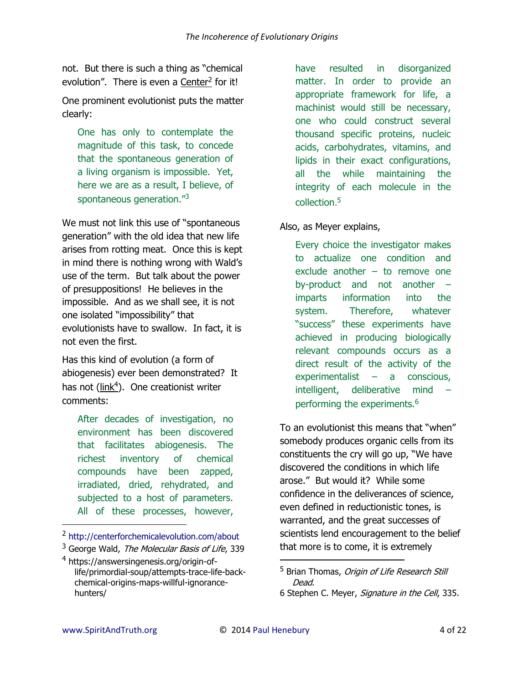not. But there is such a thing as "chemical evolution". There is even a [Center](http://centerforchemicalevolution.com/about)<sup>2</sup> for it!

One prominent evolutionist puts the matter clearly:

One has only to contemplate the magnitude of this task, to concede that the spontaneous generation of a living organism is impossible. Yet, here we are as a result, I believe, of spontaneous generation."<sup>3</sup>

We must not link this use of "spontaneous generation" with the old idea that new life arises from rotting meat. Once this is kept in mind there is nothing wrong with Wald's use of the term. But talk about the power of presuppositions! He believes in the impossible. And as we shall see, it is not one isolated "impossibility" that evolutionists have to swallow. In fact, it is not even the first.

Has this kind of evolution (a form of abiogenesis) ever been demonstrated? It has not [\(link](https://answersingenesis.org/origin-of-life/primordial-soup/attempts-trace-life-back-chemical-origins-maps-willful-ignorance-hunters/)<sup>4</sup>). One creationist writer comments:

After decades of investigation, no environment has been discovered that facilitates abiogenesis. The richest inventory of chemical compounds have been zapped, irradiated, dried, rehydrated, and subjected to a host of parameters. All of these processes, however,

<sup>2</sup> <http://centerforchemicalevolution.com/about>

have resulted in disorganized matter. In order to provide an appropriate framework for life, a machinist would still be necessary, one who could construct several thousand specific proteins, nucleic acids, carbohydrates, vitamins, and lipids in their exact configurations, all the while maintaining the integrity of each molecule in the collection*.* 5

#### Also, as Meyer explains,

Every choice the investigator makes to actualize one condition and exclude another – to remove one by-product and not another – imparts information into the system. Therefore, whatever "success" these experiments have achieved in producing biologically relevant compounds occurs as a direct result of the activity of the experimentalist – a conscious, intelligent, deliberative mind – performing the experiments.<sup>6</sup>

To an evolutionist this means that "when" somebody produces organic cells from its constituents the cry will go up, "We have discovered the conditions in which life arose." But would it? While some confidence in the deliverances of science, even defined in reductionistic tones, is warranted, and the great successes of scientists lend encouragement to the belief that more is to come, it is extremely

 $\overline{a}$ 

l

<sup>&</sup>lt;sup>3</sup> George Wald, *The Molecular Basis of Life*, 339

<sup>4</sup>  [https://answersingenesis.org/origin-of](https://answersingenesis.org/origin-of-life/primordial-soup/attempts-trace-life-back-chemical-origins-maps-willful-ignorance-hunters/)[life/primordial-soup/attempts-trace-life-back](https://answersingenesis.org/origin-of-life/primordial-soup/attempts-trace-life-back-chemical-origins-maps-willful-ignorance-hunters/)[chemical-origins-maps-willful-ignorance](https://answersingenesis.org/origin-of-life/primordial-soup/attempts-trace-life-back-chemical-origins-maps-willful-ignorance-hunters/)[hunters/](https://answersingenesis.org/origin-of-life/primordial-soup/attempts-trace-life-back-chemical-origins-maps-willful-ignorance-hunters/) 

<sup>&</sup>lt;sup>5</sup> Brian Thomas, *Origin of Life Research Still* Dead.

<sup>6</sup> Stephen C. Meyer, Signature in the Cell, 335.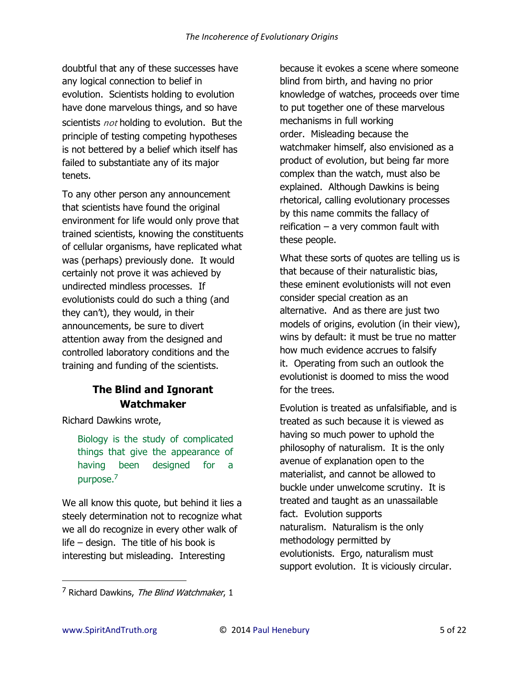doubtful that any of these successes have any logical connection to belief in evolution. Scientists holding to evolution have done marvelous things, and so have scientists *not* holding to evolution. But the principle of testing competing hypotheses is not bettered by a belief which itself has failed to substantiate any of its major tenets.

To any other person any announcement that scientists have found the original environment for life would only prove that trained scientists, knowing the constituents of cellular organisms, have replicated what was (perhaps) previously done. It would certainly not prove it was achieved by undirected mindless processes. If evolutionists could do such a thing (and they can't), they would, in their announcements, be sure to divert attention away from the designed and controlled laboratory conditions and the training and funding of the scientists.

# **The Blind and Ignorant Watchmaker**

Richard Dawkins wrote,

Biology is the study of complicated things that give the appearance of having been designed for a purpose.<sup>7</sup>

We all know this quote, but behind it lies a steely determination not to recognize what we all do recognize in every other walk of life – design. The title of his book is interesting but misleading. Interesting

because it evokes a scene where someone blind from birth, and having no prior knowledge of watches, proceeds over time to put together one of these marvelous mechanisms in full working order. Misleading because the watchmaker himself, also envisioned as a product of evolution, but being far more complex than the watch, must also be explained. Although Dawkins is being rhetorical, calling evolutionary processes by this name commits the fallacy of reification – a very common fault with these people.

What these sorts of quotes are telling us is that because of their naturalistic bias, these eminent evolutionists will not even consider special creation as an alternative. And as there are just two models of origins, evolution (in their view), wins by default: it must be true no matter how much evidence accrues to falsify it. Operating from such an outlook the evolutionist is doomed to miss the wood for the trees.

Evolution is treated as unfalsifiable, and is treated as such because it is viewed as having so much power to uphold the philosophy of naturalism. It is the only avenue of explanation open to the materialist, and cannot be allowed to buckle under unwelcome scrutiny. It is treated and taught as an unassailable fact. Evolution supports naturalism. Naturalism is the only methodology permitted by evolutionists. Ergo, naturalism must support evolution. It is viciously circular.

<sup>&</sup>lt;sup>7</sup> Richard Dawkins, *The Blind Watchmaker*, 1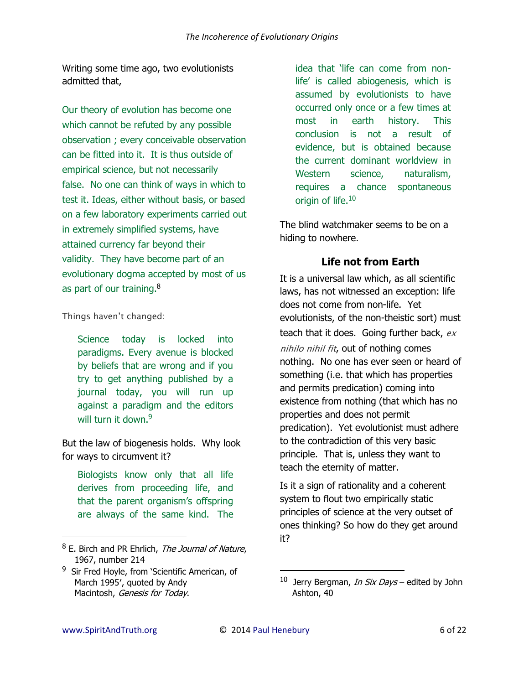Writing some time ago, two evolutionists admitted that,

Our theory of evolution has become one which cannot be refuted by any possible observation ; every conceivable observation can be fitted into it. It is thus outside of empirical science, but not necessarily false. No one can think of ways in which to test it. Ideas, either without basis, or based on a few laboratory experiments carried out in extremely simplified systems, have attained currency far beyond their validity. They have become part of an evolutionary dogma accepted by most of us as part of our training.<sup>8</sup>

Things haven't changed:

Science today is locked into paradigms. Every avenue is blocked by beliefs that are wrong and if you try to get anything published by a journal today, you will run up against a paradigm and the editors will turn it down.<sup>9</sup>

But the law of biogenesis holds. Why look for ways to circumvent it?

Biologists know only that all life derives from proceeding life, and that the parent organism's offspring are always of the same kind. The idea that 'life can come from nonlife' is called abiogenesis, which is assumed by evolutionists to have occurred only once or a few times at most in earth history. This conclusion is not a result of evidence, but is obtained because the current dominant worldview in Western science, naturalism, requires a chance spontaneous origin of life. $10$ 

The blind watchmaker seems to be on a hiding to nowhere.

# **Life not from Earth**

It is a universal law which, as all scientific laws, has not witnessed an exception: life does not come from non-life. Yet evolutionists, of the non-theistic sort) must teach that it does. Going further back, *ex nihilo nihil fit*, out of nothing comes nothing. No one has ever seen or heard of something (i.e. that which has properties and permits predication) coming into existence from nothing (that which has no properties and does not permit predication). Yet evolutionist must adhere to the contradiction of this very basic principle. That is, unless they want to teach the eternity of matter.

Is it a sign of rationality and a coherent system to flout two empirically static principles of science at the very outset of ones thinking? So how do they get around it?

 $\overline{a}$ 

<sup>&</sup>lt;sup>8</sup> E. Birch and PR Ehrlich, *The Journal of Nature*, 1967, number 214

<sup>&</sup>lt;sup>9</sup> Sir Fred Hoyle, from 'Scientific American, of March 1995′, quoted by Andy Macintosh, Genesis for Today.

<sup>&</sup>lt;sup>10</sup> Jerry Bergman, *In Six Days* – edited by John Ashton, 40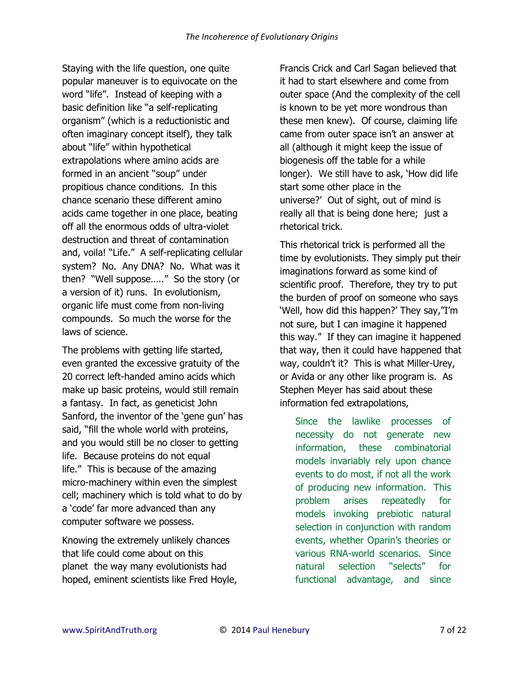Staying with the life question, one quite popular maneuver is to equivocate on the word "life". Instead of keeping with a basic definition like "a self-replicating organism" (which is a reductionistic and often imaginary concept itself), they talk about "life" within hypothetical extrapolations where amino acids are formed in an ancient "soup" under propitious chance conditions. In this chance scenario these different amino acids came together in one place, beating off all the enormous odds of ultra-violet destruction and threat of contamination and, voila! "Life." A self-replicating cellular system? No. Any DNA? No. What was it then? "Well suppose….." So the story (or a version of it) runs. In evolutionism, organic life must come from non-living compounds. So much the worse for the laws of science.

The problems with getting life started, even granted the excessive gratuity of the 20 correct left-handed amino acids which make up basic proteins, would still remain a fantasy. In fact, as geneticist John Sanford, the inventor of the 'gene gun' has said, "fill the whole world with proteins, and you would still be no closer to getting life. Because proteins do not equal life." This is because of the amazing micro-machinery within even the simplest cell; machinery which is told what to do by a 'code' far more advanced than any computer software we possess.

Knowing the extremely unlikely chances that life could come about on this planet the way many evolutionists had hoped, eminent scientists like Fred Hoyle,

Francis Crick and Carl Sagan believed that it had to start elsewhere and come from outer space (And the complexity of the cell is known to be yet more wondrous than these men knew). Of course, claiming life came from outer space isn't an answer at all (although it might keep the issue of biogenesis off the table for a while longer). We still have to ask, 'How did life start some other place in the universe?' Out of sight, out of mind is really all that is being done here; just a rhetorical trick.

This rhetorical trick is performed all the time by evolutionists. They simply put their imaginations forward as some kind of scientific proof. Therefore, they try to put the burden of proof on someone who says 'Well, how did this happen?' They say,"I'm not sure, but I can imagine it happened this way." If they can imagine it happened that way, then it could have happened that way, couldn't it? This is what Miller-Urey, or Avida or any other like program is. As Stephen Meyer has said about these information fed extrapolations,

Since the lawlike processes of necessity do not generate new information, these combinatorial models invariably rely upon chance events to do most, if not all the work of producing new information. This problem arises repeatedly for models invoking prebiotic natural selection in conjunction with random events, whether Oparin's theories or various RNA-world scenarios. Since natural selection "selects" for functional advantage, and since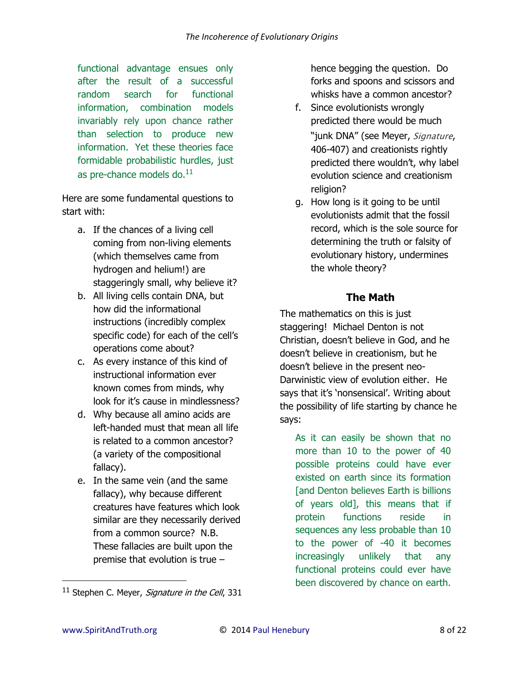functional advantage ensues only after the result of a successful random search for functional information, combination models invariably rely upon chance rather than selection to produce new information. Yet these theories face formidable probabilistic hurdles, just as pre-chance models do.<sup>11</sup>

Here are some fundamental questions to start with:

- a. If the chances of a living cell coming from non-living elements (which themselves came from hydrogen and helium!) are staggeringly small, why believe it?
- b. All living cells contain DNA, but how did the informational instructions (incredibly complex specific code) for each of the cell's operations come about?
- c. As every instance of this kind of instructional information ever known comes from minds, why look for it's cause in mindlessness?
- d. Why because all amino acids are left-handed must that mean all life is related to a common ancestor? (a variety of the compositional fallacy).
- e. In the same vein (and the same fallacy), why because different creatures have features which look similar are they necessarily derived from a common source? N.B. These fallacies are built upon the premise that evolution is true –

hence begging the question. Do forks and spoons and scissors and whisks have a common ancestor?

- f. Since evolutionists wrongly predicted there would be much "junk DNA" (see Meyer, *Signature*, 406-407) and creationists rightly predicted there wouldn't, why label evolution science and creationism religion?
- g. How long is it going to be until evolutionists admit that the fossil record, which is the sole source for determining the truth or falsity of evolutionary history, undermines the whole theory?

# **The Math**

The mathematics on this is just staggering! Michael Denton is not Christian, doesn't believe in God, and he doesn't believe in creationism, but he doesn't believe in the present neo-Darwinistic view of evolution either. He says that it's 'nonsensical'. Writing about the possibility of life starting by chance he says:

As it can easily be shown that no more than 10 to the power of 40 possible proteins could have ever existed on earth since its formation [and Denton believes Earth is billions of years old], this means that if protein functions reside in sequences any less probable than 10 to the power of -40 it becomes increasingly unlikely that any functional proteins could ever have been discovered by chance on earth.

 $11$  Stephen C. Meyer, Signature in the Cell, 331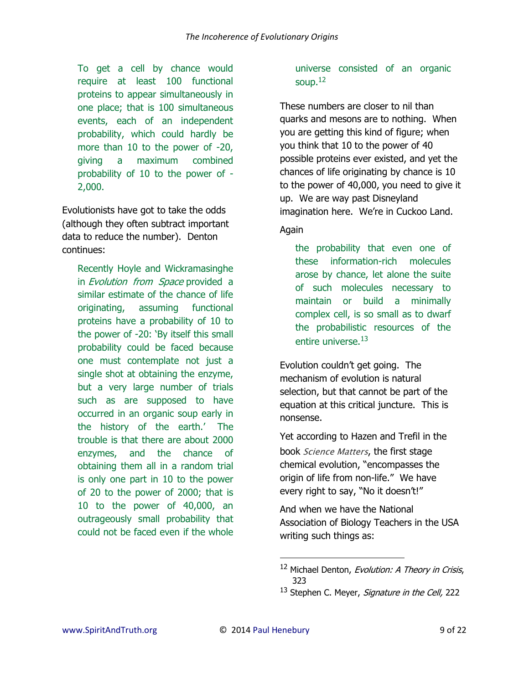To get a cell by chance would require at least 100 functional proteins to appear simultaneously in one place; that is 100 simultaneous events, each of an independent probability, which could hardly be more than 10 to the power of -20, giving a maximum combined probability of 10 to the power of - 2,000.

Evolutionists have got to take the odds (although they often subtract important data to reduce the number). Denton continues:

Recently Hoyle and Wickramasinghe in Evolution from Space provided a similar estimate of the chance of life originating, assuming functional proteins have a probability of 10 to the power of -20: 'By itself this small probability could be faced because one must contemplate not just a single shot at obtaining the enzyme, but a very large number of trials such as are supposed to have occurred in an organic soup early in the history of the earth.' The trouble is that there are about 2000 enzymes, and the chance of obtaining them all in a random trial is only one part in 10 to the power of 20 to the power of 2000; that is 10 to the power of 40,000, an outrageously small probability that could not be faced even if the whole

#### universe consisted of an organic soup. $12$

These numbers are closer to nil than quarks and mesons are to nothing. When you are getting this kind of figure; when you think that 10 to the power of 40 possible proteins ever existed, and yet the chances of life originating by chance is 10 to the power of 40,000, you need to give it up. We are way past Disneyland imagination here. We're in Cuckoo Land.

Again

the probability that even one of these information-rich molecules arose by chance, let alone the suite of such molecules necessary to maintain or build a minimally complex cell, is so small as to dwarf the probabilistic resources of the entire universe.<sup>13</sup>

Evolution couldn't get going. The mechanism of evolution is natural selection, but that cannot be part of the equation at this critical juncture. This is nonsense.

Yet according to Hazen and Trefil in the book *Science Matters*, the first stage chemical evolution, "encompasses the origin of life from non-life." We have every right to say, "No it doesn't!"

And when we have the National Association of Biology Teachers in the USA writing such things as:

 $\overline{\phantom{0}}$ 

<sup>&</sup>lt;sup>12</sup> Michael Denton, Evolution: A Theory in Crisis, 323

<sup>&</sup>lt;sup>13</sup> Stephen C. Meyer, Signature in the Cell, 222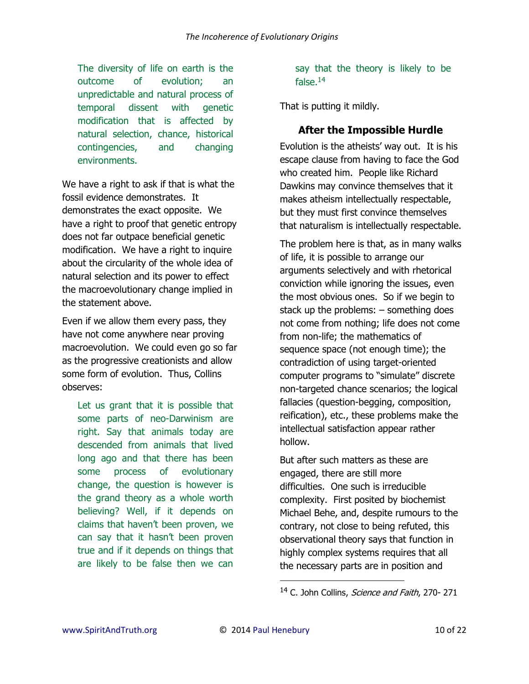The diversity of life on earth is the outcome of evolution; an unpredictable and natural process of temporal dissent with genetic modification that is affected by natural selection, chance, historical contingencies, and changing environments.

We have a right to ask if that is what the fossil evidence demonstrates. It demonstrates the exact opposite. We have a right to proof that genetic entropy does not far outpace beneficial genetic modification. We have a right to inquire about the circularity of the whole idea of natural selection and its power to effect the macroevolutionary change implied in the statement above.

Even if we allow them every pass, they have not come anywhere near proving macroevolution. We could even go so far as the progressive creationists and allow some form of evolution. Thus, Collins observes:

Let us grant that it is possible that some parts of neo-Darwinism are right. Say that animals today are descended from animals that lived long ago and that there has been some process of evolutionary change, the question is however is the grand theory as a whole worth believing? Well, if it depends on claims that haven't been proven, we can say that it hasn't been proven true and if it depends on things that are likely to be false then we can say that the theory is likely to be false. $14$ 

That is putting it mildly.

## **After the Impossible Hurdle**

Evolution is the atheists' way out. It is his escape clause from having to face the God who created him. People like Richard Dawkins may convince themselves that it makes atheism intellectually respectable, but they must first convince themselves that naturalism is intellectually respectable.

The problem here is that, as in many walks of life, it is possible to arrange our arguments selectively and with rhetorical conviction while ignoring the issues, even the most obvious ones. So if we begin to stack up the problems: – something does not come from nothing; life does not come from non-life; the mathematics of sequence space (not enough time); the contradiction of using target-oriented computer programs to "simulate" discrete non-targeted chance scenarios; the logical fallacies (question-begging, composition, reification), etc., these problems make the intellectual satisfaction appear rather hollow.

But after such matters as these are engaged, there are still more difficulties. One such is irreducible complexity. First posited by biochemist Michael Behe, and, despite rumours to the contrary, not close to being refuted, this observational theory says that function in highly complex systems requires that all the necessary parts are in position and

<sup>&</sup>lt;sup>14</sup> C. John Collins, *Science and Faith*, 270-271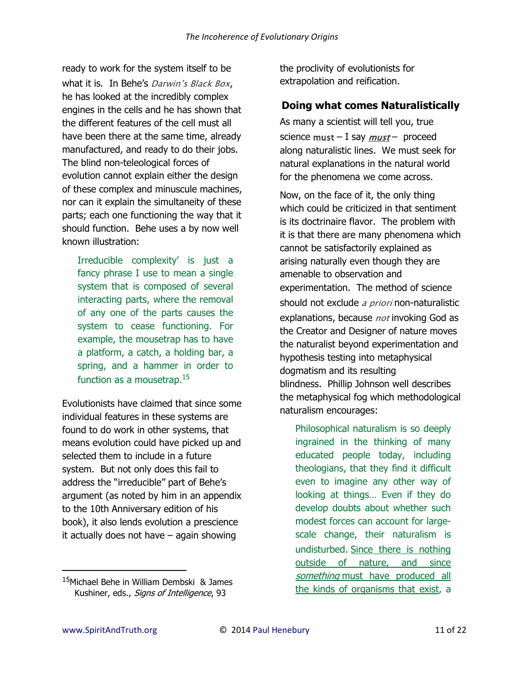ready to work for the system itself to be what it is. In Behe's Darwin's Black Box, he has looked at the incredibly complex engines in the cells and he has shown that the different features of the cell must all have been there at the same time, already manufactured, and ready to do their jobs. The blind non-teleological forces of evolution cannot explain either the design of these complex and minuscule machines, nor can it explain the simultaneity of these parts; each one functioning the way that it should function. Behe uses a by now well known illustration:

Irreducible complexity' is just a fancy phrase I use to mean a single system that is composed of several interacting parts, where the removal of any one of the parts causes the system to cease functioning. For example, the mousetrap has to have a platform, a catch, a holding bar, a spring, and a hammer in order to function as a mousetrap.<sup>15</sup>

Evolutionists have claimed that since some individual features in these systems are found to do work in other systems, that means evolution could have picked up and selected them to include in a future system. But not only does this fail to address the "irreducible" part of Behe's argument (as noted by him in an appendix to the 10th Anniversary edition of his book), it also lends evolution a prescience it actually does not have – again showing

the proclivity of evolutionists for extrapolation and reification.

## **Doing what comes Naturalistically**

As many a scientist will tell you, true science *must* – I say *must* – proceed along naturalistic lines. We must seek for natural explanations in the natural world for the phenomena we come across.

Now, on the face of it, the only thing which could be criticized in that sentiment is its doctrinaire flavor. The problem with it is that there are many phenomena which cannot be satisfactorily explained as arising naturally even though they are amenable to observation and experimentation. The method of science should not exclude *a priori* non-naturalistic explanations, because *not* invoking God as the Creator and Designer of nature moves the naturalist beyond experimentation and hypothesis testing into metaphysical dogmatism and its resulting blindness. Phillip Johnson well describes the metaphysical fog which methodological naturalism encourages:

Philosophical naturalism is so deeply ingrained in the thinking of many educated people today, including theologians, that they find it difficult even to imagine any other way of looking at things… Even if they do develop doubts about whether such modest forces can account for largescale change, their naturalism is undisturbed. Since there is nothing outside of nature, and since something must have produced all the kinds of organisms that exist, a

<sup>&</sup>lt;sup>15</sup>Michael Behe in William Dembski & James Kushiner, eds., Signs of Intelligence, 93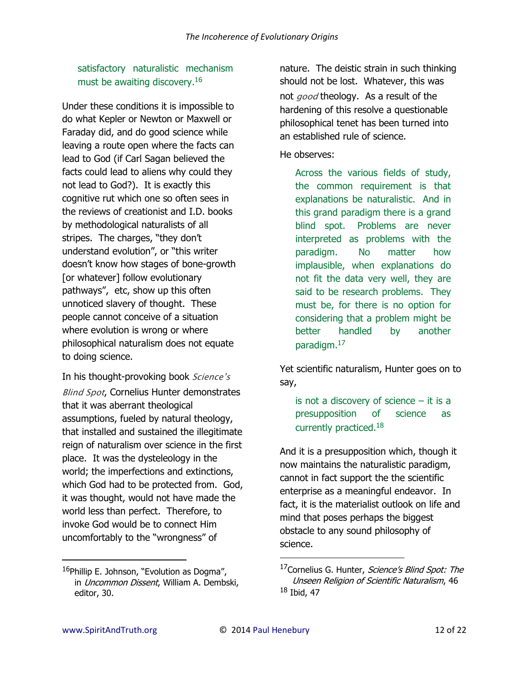satisfactory naturalistic mechanism must be awaiting discovery.<sup>16</sup>

Under these conditions it is impossible to do what Kepler or Newton or Maxwell or Faraday did, and do good science while leaving a route open where the facts can lead to God (if Carl Sagan believed the facts could lead to aliens why could they not lead to God?). It is exactly this cognitive rut which one so often sees in the reviews of creationist and I.D. books by methodological naturalists of all stripes. The charges, "they don't understand evolution", or "this writer doesn't know how stages of bone-growth [or whatever] follow evolutionary pathways", etc, show up this often unnoticed slavery of thought. These people cannot conceive of a situation where evolution is wrong or where philosophical naturalism does not equate to doing science.

In his thought-provoking book *Sci*ence's *Blind Spot*, Cornelius Hunter demonstrates that it was aberrant theological assumptions, fueled by natural theology, that installed and sustained the illegitimate reign of naturalism over science in the first place. It was the dysteleology in the world; the imperfections and extinctions, which God had to be protected from. God, it was thought, would not have made the world less than perfect. Therefore, to invoke God would be to connect Him uncomfortably to the "wrongness" of

nature. The deistic strain in such thinking should not be lost. Whatever, this was not *good* theology. As a result of the hardening of this resolve a questionable philosophical tenet has been turned into an established rule of science.

He observes:

Across the various fields of study, the common requirement is that explanations be naturalistic. And in this grand paradigm there is a grand blind spot. Problems are never interpreted as problems with the paradigm. No matter how implausible, when explanations do not fit the data very well, they are said to be research problems. They must be, for there is no option for considering that a problem might be better handled by another paradigm.<sup>17</sup>

Yet scientific naturalism, Hunter goes on to say,

is not a discovery of science  $-$  it is a presupposition of science as currently practiced.<sup>18</sup>

And it is a presupposition which, though it now maintains the naturalistic paradigm, cannot in fact support the the scientific enterprise as a meaningful endeavor. In fact, it is the materialist outlook on life and mind that poses perhaps the biggest obstacle to any sound philosophy of science.

l

 $\overline{\phantom{0}}$ 

<sup>&</sup>lt;sup>16</sup>Phillip E. Johnson, "Evolution as Dogma", in Uncommon Dissent, William A. Dembski, editor, 30.

<sup>&</sup>lt;sup>17</sup>Cornelius G. Hunter, Science's Blind Spot: The Unseen Religion of Scientific Naturalism, 46  $18$  Ibid, 47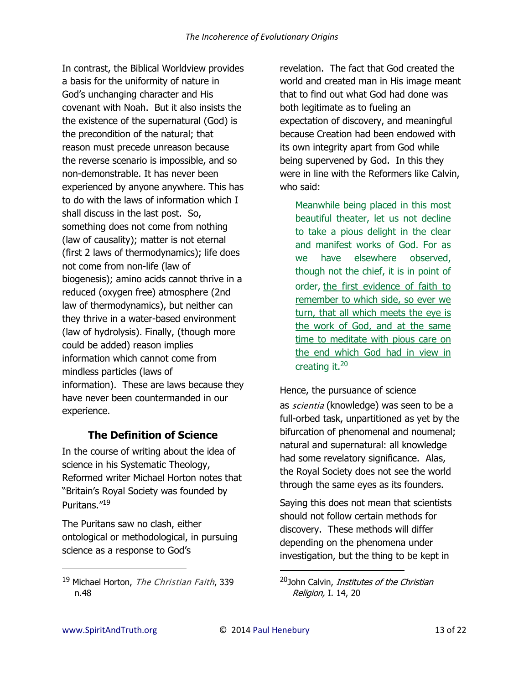In contrast, the Biblical Worldview provides a basis for the uniformity of nature in God's unchanging character and His covenant with Noah. But it also insists the the existence of the supernatural (God) is the precondition of the natural; that reason must precede unreason because the reverse scenario is impossible, and so non-demonstrable. It has never been experienced by anyone anywhere. This has to do with the laws of information which I shall discuss in the last post. So, something does not come from nothing (law of causality); matter is not eternal (first 2 laws of thermodynamics); life does not come from non-life (law of biogenesis); amino acids cannot thrive in a reduced (oxygen free) atmosphere (2nd law of thermodynamics), but neither can they thrive in a water-based environment (law of hydrolysis). Finally, (though more could be added) reason implies information which cannot come from mindless particles (laws of information). These are laws because they have never been countermanded in our experience.

#### **The Definition of Science**

In the course of writing about the idea of science in his Systematic Theology, Reformed writer Michael Horton notes that "Britain's Royal Society was founded by Puritans."<sup>19</sup>

The Puritans saw no clash, either ontological or methodological, in pursuing science as a response to God's

revelation. The fact that God created the world and created man in His image meant that to find out what God had done was both legitimate as to fueling an expectation of discovery, and meaningful because Creation had been endowed with its own integrity apart from God while being supervened by God. In this they were in line with the Reformers like Calvin, who said:

Meanwhile being placed in this most beautiful theater, let us not decline to take a pious delight in the clear and manifest works of God. For as we have elsewhere observed, though not the chief, it is in point of order, the first evidence of faith to remember to which side, so ever we turn, that all which meets the eye is the work of God, and at the same time to meditate with pious care on the end which God had in view in creating it.<sup>20</sup>

Hence, the pursuance of science as *scientia* (knowledge) was seen to be a full-orbed task, unpartitioned as yet by the bifurcation of phenomenal and noumenal; natural and supernatural: all knowledge had some revelatory significance. Alas, the Royal Society does not see the world through the same eyes as its founders.

Saying this does not mean that scientists should not follow certain methods for discovery. These methods will differ depending on the phenomena under investigation, but the thing to be kept in

 $\overline{a}$ 

<sup>19</sup> Michael Horton, *The Christian Faith*, 339 n.48

<sup>&</sup>lt;sup>20</sup>John Calvin, *Institutes of the Christian* Religion, I. 14, 20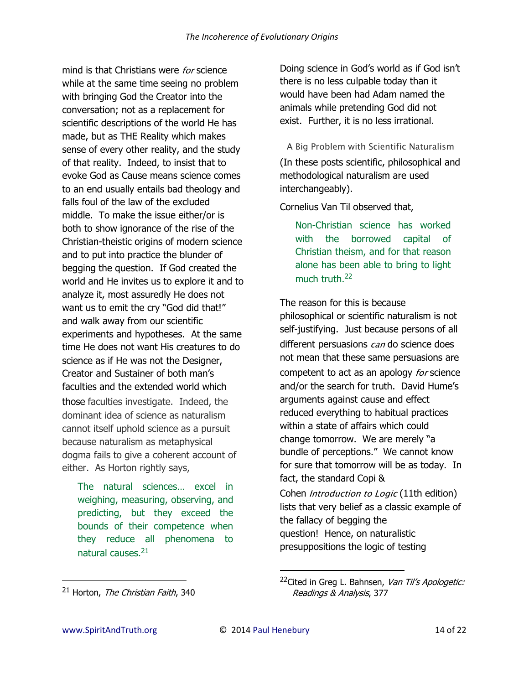mind is that Christians were *for* science while at the same time seeing no problem with bringing God the Creator into the conversation; not as a replacement for scientific descriptions of the world He has made, but as THE Reality which makes sense of every other reality, and the study of that reality. Indeed, to insist that to evoke God as Cause means science comes to an end usually entails bad theology and falls foul of the law of the excluded middle. To make the issue either/or is both to show ignorance of the rise of the Christian-theistic origins of modern science and to put into practice the blunder of begging the question. If God created the world and He invites us to explore it and to analyze it, most assuredly He does not want us to emit the cry "God did that!" and walk away from our scientific experiments and hypotheses. At the same time He does not want His creatures to do science as if He was not the Designer, Creator and Sustainer of both man's faculties and the extended world which those faculties investigate. Indeed, the dominant idea of science as naturalism cannot itself uphold science as a pursuit because naturalism as metaphysical dogma fails to give a coherent account of either. As Horton rightly says,

The natural sciences… excel in weighing, measuring, observing, and predicting, but they exceed the bounds of their competence when they reduce all phenomena to natural causes.<sup>21</sup>

Doing science in God's world as if God isn't there is no less culpable today than it would have been had Adam named the animals while pretending God did not exist. Further, it is no less irrational.

*A Big Problem with Scientific Naturalism* (In these posts scientific, philosophical and methodological naturalism are used interchangeably).

Cornelius Van Til observed that,

Non-Christian science has worked with the borrowed capital of Christian theism, and for that reason alone has been able to bring to light much truth.<sup>22</sup>

The reason for this is because philosophical or scientific naturalism is not self-justifying. Just because persons of all different persuasions *can* do science does not mean that these same persuasions are competent to act as an apology *for* science and/or the search for truth. David Hume's arguments against cause and effect reduced everything to habitual practices within a state of affairs which could change tomorrow. We are merely "a bundle of perceptions." We cannot know for sure that tomorrow will be as today. In fact, the standard Copi &

Cohen *Introduction to Logic* (11th edition) lists that very belief as a classic example of the fallacy of begging the question! Hence, on naturalistic presuppositions the logic of testing

 $\overline{a}$ 

 $21$  Horton, The Christian Faith, 340

<sup>&</sup>lt;sup>22</sup>Cited in Greg L. Bahnsen, Van Til's Apologetic: Readings & Analysis, 377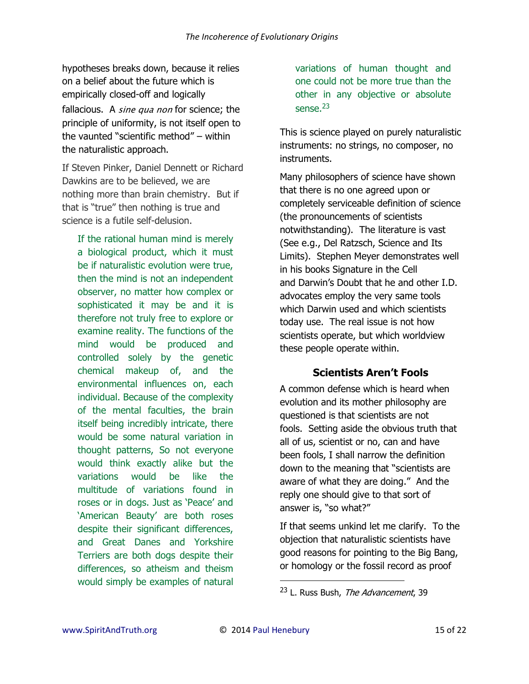hypotheses breaks down, because it relies on a belief about the future which is empirically closed-off and logically fallacious. A *sine qua non* for science; the principle of uniformity, is not itself open to the vaunted "scientific method" – within the naturalistic approach.

If Steven Pinker, Daniel Dennett or Richard Dawkins are to be believed, we are nothing more than brain chemistry. But if that is "true" then nothing is true and science is a futile self-delusion.

If the rational human mind is merely a biological product, which it must be if naturalistic evolution were true, then the mind is not an independent observer, no matter how complex or sophisticated it may be and it is therefore not truly free to explore or examine reality. The functions of the mind would be produced and controlled solely by the genetic chemical makeup of, and the environmental influences on, each individual. Because of the complexity of the mental faculties, the brain itself being incredibly intricate, there would be some natural variation in thought patterns, So not everyone would think exactly alike but the variations would be like the multitude of variations found in roses or in dogs. Just as 'Peace' and 'American Beauty' are both roses despite their significant differences, and Great Danes and Yorkshire Terriers are both dogs despite their differences, so atheism and theism would simply be examples of natural

variations of human thought and one could not be more true than the other in any objective or absolute sense. $23$ 

This is science played on purely naturalistic instruments: no strings, no composer, no instruments.

Many philosophers of science have shown that there is no one agreed upon or completely serviceable definition of science (the pronouncements of scientists notwithstanding). The literature is vast (See e.g., Del Ratzsch, Science and Its Limits). Stephen Meyer demonstrates well in his books Signature in the Cell and Darwin's Doubt that he and other I.D. advocates employ the very same tools which Darwin used and which scientists today use. The real issue is not how scientists operate, but which worldview these people operate within.

# **Scientists Aren't Fools**

A common defense which is heard when evolution and its mother philosophy are questioned is that scientists are not fools. Setting aside the obvious truth that all of us, scientist or no, can and have been fools, I shall narrow the definition down to the meaning that "scientists are aware of what they are doing." And the reply one should give to that sort of answer is, "so what?"

If that seems unkind let me clarify. To the objection that naturalistic scientists have good reasons for pointing to the Big Bang, or homology or the fossil record as proof

<sup>&</sup>lt;sup>23</sup> L. Russ Bush, *The Advancement*, 39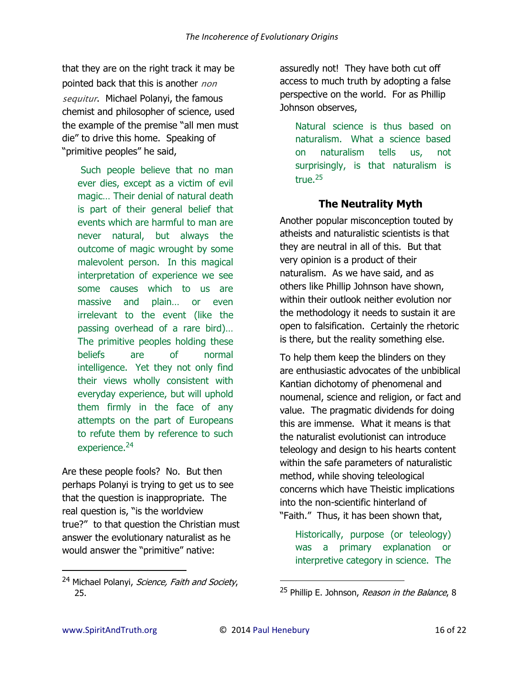that they are on the right track it may be pointed back that this is another *non sequitur*. Michael Polanyi, the famous chemist and philosopher of science, used the example of the premise "all men must die" to drive this home. Speaking of "primitive peoples" he said,

Such people believe that no man ever dies, except as a victim of evil magic… Their denial of natural death is part of their general belief that events which are harmful to man are never natural, but always the outcome of magic wrought by some malevolent person. In this magical interpretation of experience we see some causes which to us are massive and plain… or even irrelevant to the event (like the passing overhead of a rare bird)… The primitive peoples holding these beliefs are of normal intelligence. Yet they not only find their views wholly consistent with everyday experience, but will uphold them firmly in the face of any attempts on the part of Europeans to refute them by reference to such experience.<sup>24</sup>

Are these people fools? No. But then perhaps Polanyi is trying to get us to see that the question is inappropriate. The real question is, "is the worldview true?" to that question the Christian must answer the evolutionary naturalist as he would answer the "primitive" native:

<sup>24</sup> Michael Polanyi, Science, Faith and Society, 25.

assuredly not! They have both cut off access to much truth by adopting a false perspective on the world. For as Phillip Johnson observes,

Natural science is thus based on naturalism. What a science based on naturalism tells us, not surprisingly, is that naturalism is true.<sup>25</sup>

#### **The Neutrality Myth**

Another popular misconception touted by atheists and naturalistic scientists is that they are neutral in all of this. But that very opinion is a product of their naturalism. As we have said, and as others like Phillip Johnson have shown, within their outlook neither evolution nor the methodology it needs to sustain it are open to falsification. Certainly the rhetoric is there, but the reality something else.

To help them keep the blinders on they are enthusiastic advocates of the unbiblical Kantian dichotomy of phenomenal and noumenal, science and religion, or fact and value. The pragmatic dividends for doing this are immense. What it means is that the naturalist evolutionist can introduce teleology and design to his hearts content within the safe parameters of naturalistic method, while shoving teleological concerns which have Theistic implications into the non-scientific hinterland of "Faith." Thus, it has been shown that,

Historically, purpose (or teleology) was a primary explanation or interpretive category in science. The

 $\overline{a}$ 

<sup>&</sup>lt;sup>25</sup> Phillip E. Johnson, *Reason in the Balance*, 8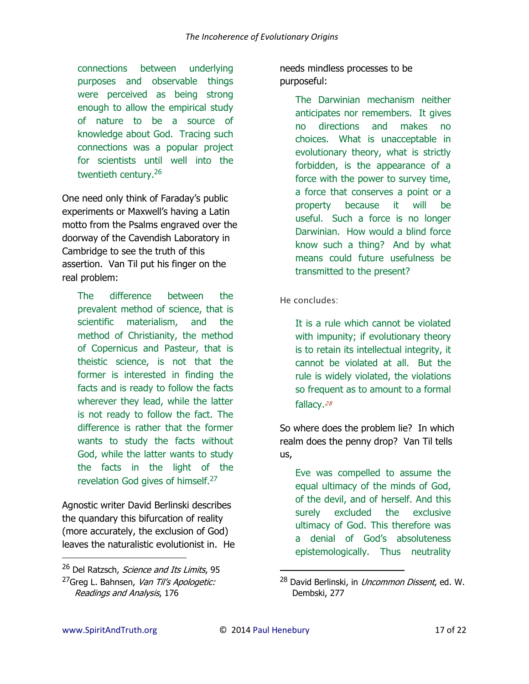connections between underlying purposes and observable things were perceived as being strong enough to allow the empirical study of nature to be a source of knowledge about God. Tracing such connections was a popular project for scientists until well into the twentieth century.<sup>26</sup>

One need only think of Faraday's public experiments or Maxwell's having a Latin motto from the Psalms engraved over the doorway of the Cavendish Laboratory in Cambridge to see the truth of this assertion. Van Til put his finger on the real problem:

The difference between the prevalent method of science, that is scientific materialism, and the method of Christianity, the method of Copernicus and Pasteur, that is theistic science, is not that the former is interested in finding the facts and is ready to follow the facts wherever they lead, while the latter is not ready to follow the fact. The difference is rather that the former wants to study the facts without God, while the latter wants to study the facts in the light of the revelation God gives of himself.<sup>27</sup>

Agnostic writer David Berlinski describes the quandary this bifurcation of reality (more accurately, the exclusion of God) leaves the naturalistic evolutionist in. He needs mindless processes to be purposeful:

> The Darwinian mechanism neither anticipates nor remembers. It gives no directions and makes no choices. What is unacceptable in evolutionary theory, what is strictly forbidden, is the appearance of a force with the power to survey time, a force that conserves a point or a property because it will be useful. Such a force is no longer Darwinian. How would a blind force know such a thing? And by what means could future usefulness be transmitted to the present?

#### *He concludes:*

It is a rule which cannot be violated with impunity; if evolutionary theory is to retain its intellectual integrity, it cannot be violated at all. But the rule is widely violated, the violations so frequent as to amount to a formal fallacy.*<sup>28</sup>*

So where does the problem lie? In which realm does the penny drop? Van Til tells us,

Eve was compelled to assume the equal ultimacy of the minds of God, of the devil, and of herself. And this surely excluded the exclusive ultimacy of God. This therefore was a denial of God's absoluteness epistemologically. Thus neutrality

 $\overline{\phantom{0}}$ 

<sup>&</sup>lt;sup>26</sup> Del Ratzsch, Science and Its Limits, 95

<sup>&</sup>lt;sup>27</sup>Greg L. Bahnsen, Van Til's Apologetic: Readings and Analysis, 176

<sup>&</sup>lt;sup>28</sup> David Berlinski, in *Uncommon Dissent*, ed. W. Dembski, 277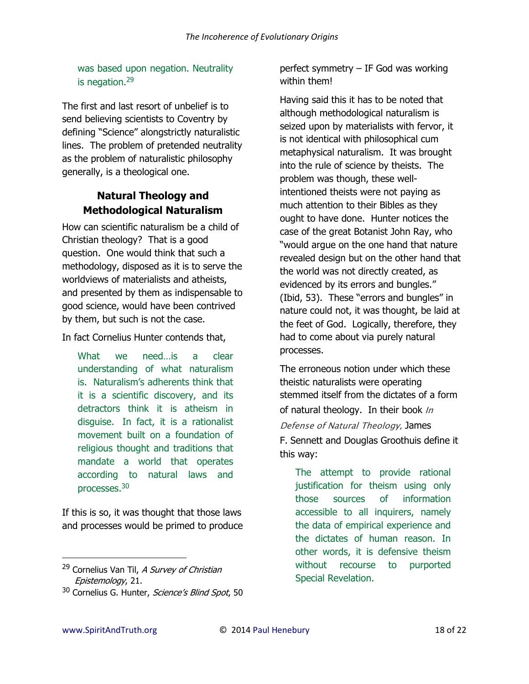was based upon negation. Neutrality is negation. $29$ 

The first and last resort of unbelief is to send believing scientists to Coventry by defining "Science" alongstrictly naturalistic lines. The problem of pretended neutrality as the problem of naturalistic philosophy generally, is a theological one.

# **Natural Theology and Methodological Naturalism**

How can scientific naturalism be a child of Christian theology? That is a good question. One would think that such a methodology, disposed as it is to serve the worldviews of materialists and atheists, and presented by them as indispensable to good science, would have been contrived by them, but such is not the case.

In fact Cornelius Hunter contends that,

What we need…is a clear understanding of what naturalism is. Naturalism's adherents think that it is a scientific discovery, and its detractors think it is atheism in disguise. In fact, it is a rationalist movement built on a foundation of religious thought and traditions that mandate a world that operates according to natural laws and processes.<sup>30</sup>

If this is so, it was thought that those laws and processes would be primed to produce perfect symmetry – IF God was working within them!

Having said this it has to be noted that although methodological naturalism is seized upon by materialists with fervor, it is not identical with philosophical cum metaphysical naturalism. It was brought into the rule of science by theists. The problem was though, these wellintentioned theists were not paying as much attention to their Bibles as they ought to have done. Hunter notices the case of the great Botanist John Ray, who "would argue on the one hand that nature revealed design but on the other hand that the world was not directly created, as evidenced by its errors and bungles." (Ibid, 53). These "errors and bungles" in nature could not, it was thought, be laid at the feet of God. Logically, therefore, they had to come about via purely natural processes.

The erroneous notion under which these theistic naturalists were operating stemmed itself from the dictates of a form of natural theology. In their book *In Defense of Natural Theology,* James F. Sennett and Douglas Groothuis define it this way:

The attempt to provide rational justification for theism using only those sources of information accessible to all inquirers, namely the data of empirical experience and the dictates of human reason. In other words, it is defensive theism without recourse to purported Special Revelation.

 $\overline{\phantom{0}}$ 

<sup>&</sup>lt;sup>29</sup> Cornelius Van Til, A Survey of Christian Epistemology, 21.

<sup>&</sup>lt;sup>30</sup> Cornelius G. Hunter, Science's Blind Spot, 50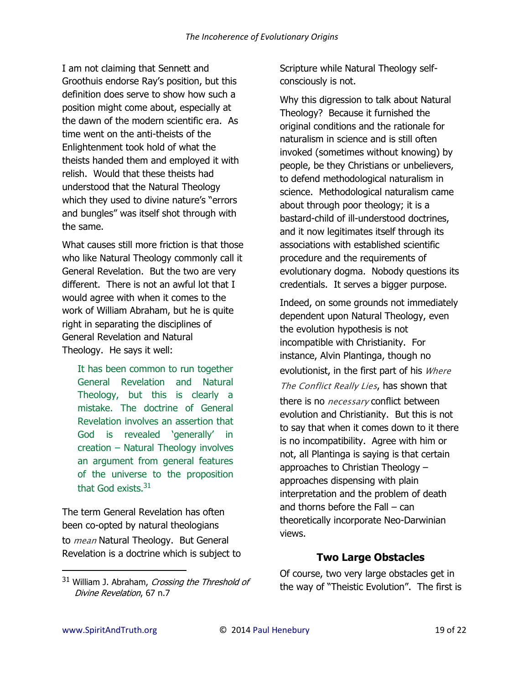I am not claiming that Sennett and Groothuis endorse Ray's position, but this definition does serve to show how such a position might come about, especially at the dawn of the modern scientific era. As time went on the anti-theists of the Enlightenment took hold of what the theists handed them and employed it with relish. Would that these theists had understood that the Natural Theology which they used to divine nature's "errors and bungles" was itself shot through with the same.

What causes still more friction is that those who like Natural Theology commonly call it General Revelation. But the two are very different. There is not an awful lot that I would agree with when it comes to the work of William Abraham, but he is quite right in separating the disciplines of General Revelation and Natural Theology. He says it well:

It has been common to run together General Revelation and Natural Theology, but this is clearly a mistake. The doctrine of General Revelation involves an assertion that God is revealed 'generally' in creation – Natural Theology involves an argument from general features of the universe to the proposition that God exists.<sup>31</sup>

The term General Revelation has often been co-opted by natural theologians to *mean* Natural Theology. But General Revelation is a doctrine which is subject to Scripture while Natural Theology selfconsciously is not.

Why this digression to talk about Natural Theology? Because it furnished the original conditions and the rationale for naturalism in science and is still often invoked (sometimes without knowing) by people, be they Christians or unbelievers, to defend methodological naturalism in science. Methodological naturalism came about through poor theology; it is a bastard-child of ill-understood doctrines, and it now legitimates itself through its associations with established scientific procedure and the requirements of evolutionary dogma. Nobody questions its credentials. It serves a bigger purpose.

Indeed, on some grounds not immediately dependent upon Natural Theology, even the evolution hypothesis is not incompatible with Christianity. For instance, Alvin Plantinga, though no evolutionist, in the first part of his *Where The Conflict Really Lies*, has shown that there is no *necessary* conflict between evolution and Christianity. But this is not to say that when it comes down to it there is no incompatibility. Agree with him or not, all Plantinga is saying is that certain approaches to Christian Theology – approaches dispensing with plain interpretation and the problem of death and thorns before the Fall – can theoretically incorporate Neo-Darwinian views.

#### **Two Large Obstacles**

Of course, two very large obstacles get in the way of "Theistic Evolution". The first is

 $31$  William J. Abraham, Crossing the Threshold of Divine Revelation, 67 n.7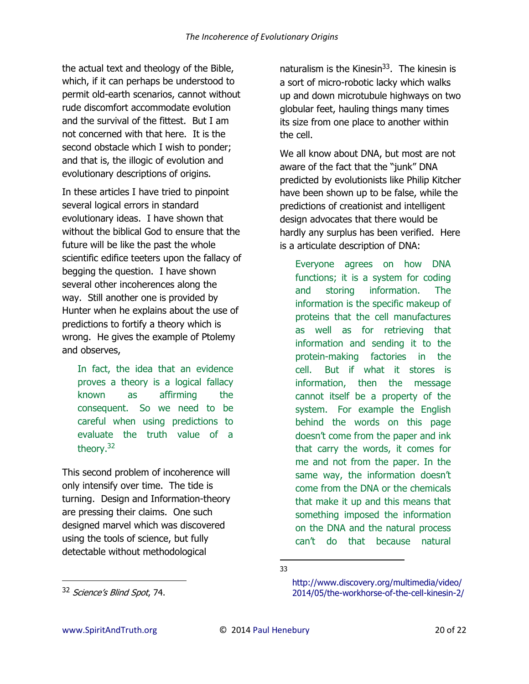the actual text and theology of the Bible, which, if it can perhaps be understood to permit old-earth scenarios, cannot without rude discomfort accommodate evolution and the survival of the fittest. But I am not concerned with that here. It is the second obstacle which I wish to ponder; and that is, the illogic of evolution and evolutionary descriptions of origins.

In these articles I have tried to pinpoint several logical errors in standard evolutionary ideas. I have shown that without the biblical God to ensure that the future will be like the past the whole scientific edifice teeters upon the fallacy of begging the question. I have shown several other incoherences along the way. Still another one is provided by Hunter when he explains about the use of predictions to fortify a theory which is wrong. He gives the example of Ptolemy and observes,

In fact, the idea that an evidence proves a theory is a logical fallacy known as affirming the consequent. So we need to be careful when using predictions to evaluate the truth value of a theory.<sup>32</sup>

This second problem of incoherence will only intensify over time. The tide is turning. Design and Information-theory are pressing their claims. One such designed marvel which was discovered using the tools of science, but fully detectable without methodological

naturalism is the [Kinesin](http://www.discovery.org/multimedia/video/2014/05/the-workhorse-of-the-cell-kinesin-2/http:/www.discovery.org/multimedia/video/2014/05/the-workhorse-of-the-cell-kinesin-2/)<sup>33</sup>. The kinesin is a sort of micro-robotic lacky which walks up and down microtubule highways on two globular feet, hauling things many times its size from one place to another within the cell.

We all know about DNA, but most are not aware of the fact that the "junk" DNA predicted by evolutionists like Philip Kitcher have been shown up to be false, while the predictions of creationist and intelligent design advocates that there would be hardly any surplus has been verified. Here is a articulate description of DNA:

Everyone agrees on how DNA functions; it is a system for coding and storing information. The information is the specific makeup of proteins that the cell manufactures as well as for retrieving that information and sending it to the protein-making factories in the cell. But if what it stores is information, then the message cannot itself be a property of the system. For example the English behind the words on this page doesn't come from the paper and ink that carry the words, it comes for me and not from the paper. In the same way, the information doesn't come from the DNA or the chemicals that make it up and this means that something imposed the information on the DNA and the natural process can't do that because natural

l 33

<sup>32</sup> Science's Blind Spot, 74.

[http://www.discovery.org/multimedia/video/](http://www.discovery.org/multimedia/video/2014/05/the-workhorse-of-the-cell-kinesin-2/) [2014/05/the-workhorse-of-the-cell-kinesin-2/](http://www.discovery.org/multimedia/video/2014/05/the-workhorse-of-the-cell-kinesin-2/)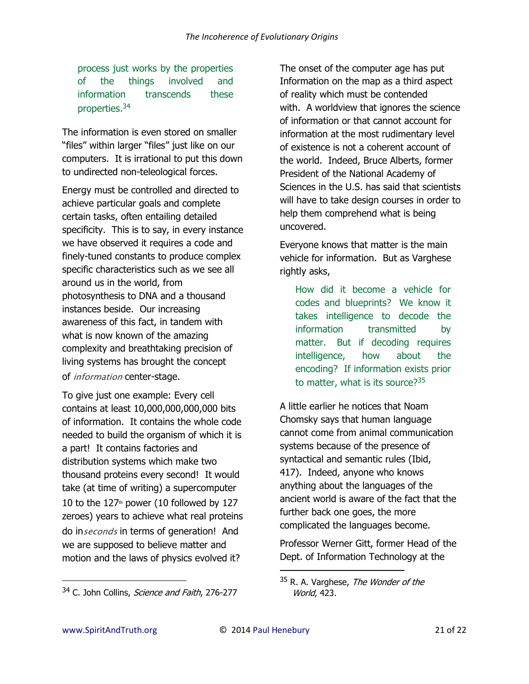process just works by the properties of the things involved and information transcends these properties.<sup>34</sup>

The information is even stored on smaller "files" within larger "files" just like on our computers. It is irrational to put this down to undirected non-teleological forces.

Energy must be controlled and directed to achieve particular goals and complete certain tasks, often entailing detailed specificity. This is to say, in every instance we have observed it requires a code and finely-tuned constants to produce complex specific characteristics such as we see all around us in the world, from photosynthesis to DNA and a thousand instances beside. Our increasing awareness of this fact, in tandem with what is now known of the amazing complexity and breathtaking precision of living systems has brought the concept of *information* center-stage.

To give just one example: Every cell contains at least 10,000,000,000,000 bits of information. It contains the whole code needed to build the organism of which it is a part! It contains factories and distribution systems which make two thousand proteins every second! It would take (at time of writing) a supercomputer 10 to the  $127<sup>th</sup>$  power (10 followed by 127 zeroes) years to achieve what real proteins do in*seconds* in terms of generation! And we are supposed to believe matter and motion and the laws of physics evolved it?

The onset of the computer age has put Information on the map as a third aspect of reality which must be contended with. A worldview that ignores the science of information or that cannot account for information at the most rudimentary level of existence is not a coherent account of the world. Indeed, Bruce Alberts, former President of the National Academy of Sciences in the U.S. has said that scientists will have to take design courses in order to help them comprehend what is being uncovered.

Everyone knows that matter is the main vehicle for information. But as Varghese rightly asks,

How did it become a vehicle for codes and blueprints? We know it takes intelligence to decode the information transmitted by matter. But if decoding requires intelligence, how about the encoding? If information exists prior to matter, what is its source? $35$ 

A little earlier he notices that Noam Chomsky says that human language cannot come from animal communication systems because of the presence of syntactical and semantic rules (Ibid, 417). Indeed, anyone who knows anything about the languages of the ancient world is aware of the fact that the further back one goes, the more complicated the languages become.

Professor Werner Gitt, former Head of the Dept. of Information Technology at the

 $\overline{a}$ 

<sup>&</sup>lt;sup>34</sup> C. John Collins, *Science and Faith*, 276-277

<sup>&</sup>lt;sup>35</sup> R. A. Varghese, *The Wonder of the* World, 423.